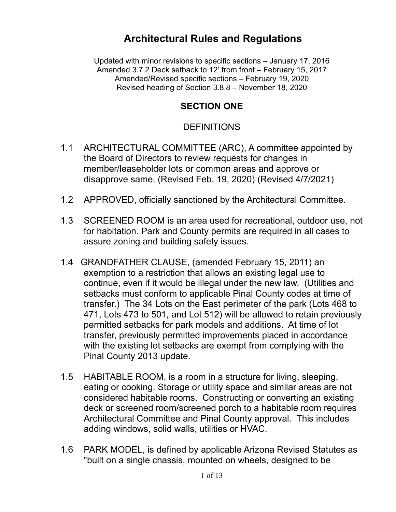# **Architectural Rules and Regulations**

Updated with minor revisions to specific sections – January 17, 2016 Amended 3.7.2 Deck setback to 12' from front – February 15, 2017 Amended/Revised specific sections – February 19, 2020 Revised heading of Section 3.8.8 – November 18, 2020

#### **SECTION ONE**

### DEFINITIONS

- 1.1 ARCHITECTURAL COMMITTEE (ARC), A committee appointed by the Board of Directors to review requests for changes in member/leaseholder lots or common areas and approve or disapprove same. (Revised Feb. 19, 2020) (Revised 4/7/2021)
- 1.2 APPROVED, officially sanctioned by the Architectural Committee.
- 1.3 SCREENED ROOM is an area used for recreational, outdoor use, not for habitation. Park and County permits are required in all cases to assure zoning and building safety issues.
- 1.4 GRANDFATHER CLAUSE, (amended February 15, 2011) an exemption to a restriction that allows an existing legal use to continue, even if it would be illegal under the new law. (Utilities and setbacks must conform to applicable Pinal County codes at time of transfer.) The 34 Lots on the East perimeter of the park (Lots 468 to 471, Lots 473 to 501, and Lot 512) will be allowed to retain previously permitted setbacks for park models and additions. At time of lot transfer, previously permitted improvements placed in accordance with the existing lot setbacks are exempt from complying with the Pinal County 2013 update.
- 1.5 HABITABLE ROOM, is a room in a structure for living, sleeping, eating or cooking. Storage or utility space and similar areas are not considered habitable rooms. Constructing or converting an existing deck or screened room/screened porch to a habitable room requires Architectural Committee and Pinal County approval. This includes adding windows, solid walls, utilities or HVAC.
- 1.6 PARK MODEL, is defined by applicable Arizona Revised Statutes as "built on a single chassis, mounted on wheels, designed to be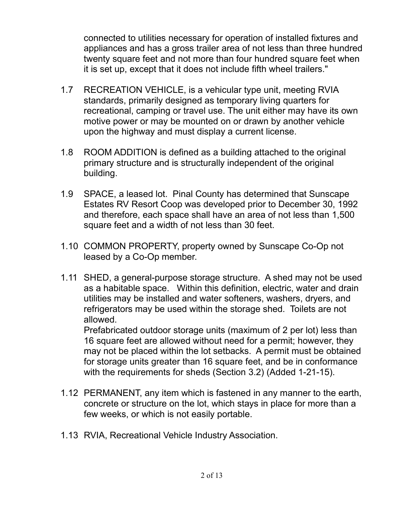connected to utilities necessary for operation of installed fixtures and appliances and has a gross trailer area of not less than three hundred twenty square feet and not more than four hundred square feet when it is set up, except that it does not include fifth wheel trailers."

- 1.7 RECREATION VEHICLE, is a vehicular type unit, meeting RVIA standards, primarily designed as temporary living quarters for recreational, camping or travel use. The unit either may have its own motive power or may be mounted on or drawn by another vehicle upon the highway and must display a current license.
- 1.8 ROOM ADDITION is defined as a building attached to the original primary structure and is structurally independent of the original building.
- 1.9 SPACE, a leased lot. Pinal County has determined that Sunscape Estates RV Resort Coop was developed prior to December 30, 1992 and therefore, each space shall have an area of not less than 1,500 square feet and a width of not less than 30 feet.
- 1.10 COMMON PROPERTY, property owned by Sunscape Co-Op not leased by a Co-Op member.
- 1.11 SHED, a general-purpose storage structure. A shed may not be used as a habitable space. Within this definition, electric, water and drain utilities may be installed and water softeners, washers, dryers, and refrigerators may be used within the storage shed. Toilets are not allowed.

Prefabricated outdoor storage units (maximum of 2 per lot) less than 16 square feet are allowed without need for a permit; however, they may not be placed within the lot setbacks. A permit must be obtained for storage units greater than 16 square feet, and be in conformance with the requirements for sheds (Section 3.2) (Added 1-21-15).

- 1.12 PERMANENT, any item which is fastened in any manner to the earth, concrete or structure on the lot, which stays in place for more than a few weeks, or which is not easily portable.
- 1.13 RVIA, Recreational Vehicle Industry Association.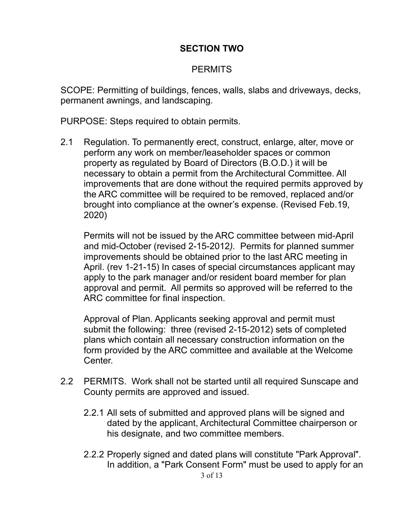### **SECTION TWO**

### **PERMITS**

SCOPE: Permitting of buildings, fences, walls, slabs and driveways, decks, permanent awnings, and landscaping.

PURPOSE: Steps required to obtain permits.

2.1 Regulation. To permanently erect, construct, enlarge, alter, move or perform any work on member/leaseholder spaces or common property as regulated by Board of Directors (B.O.D.) it will be necessary to obtain a permit from the Architectural Committee. All improvements that are done without the required permits approved by the ARC committee will be required to be removed, replaced and/or brought into compliance at the owner's expense. (Revised Feb.19, 2020)

Permits will not be issued by the ARC committee between mid-April and mid-October (revised 2-15-2012*).* Permits for planned summer improvements should be obtained prior to the last ARC meeting in April. (rev 1-21-15) In cases of special circumstances applicant may apply to the park manager and/or resident board member for plan approval and permit. All permits so approved will be referred to the ARC committee for final inspection.

Approval of Plan. Applicants seeking approval and permit must submit the following: three (revised 2-15-2012) sets of completed plans which contain all necessary construction information on the form provided by the ARC committee and available at the Welcome Center.

- 2.2 PERMITS. Work shall not be started until all required Sunscape and County permits are approved and issued.
	- 2.2.1 All sets of submitted and approved plans will be signed and dated by the applicant, Architectural Committee chairperson or his designate, and two committee members.
	- 2.2.2 Properly signed and dated plans will constitute "Park Approval". In addition, a "Park Consent Form" must be used to apply for an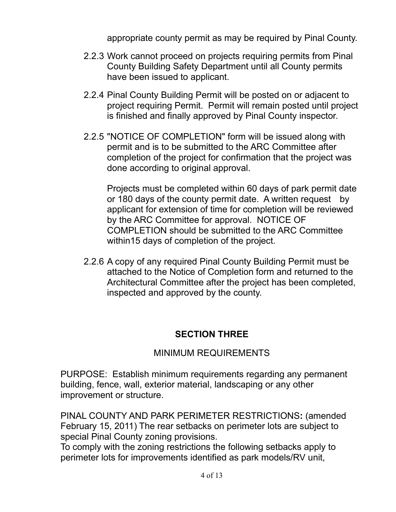appropriate county permit as may be required by Pinal County.

- 2.2.3 Work cannot proceed on projects requiring permits from Pinal County Building Safety Department until all County permits have been issued to applicant.
- 2.2.4 Pinal County Building Permit will be posted on or adjacent to project requiring Permit. Permit will remain posted until project is finished and finally approved by Pinal County inspector.
- 2.2.5 "NOTICE OF COMPLETION" form will be issued along with permit and is to be submitted to the ARC Committee after completion of the project for confirmation that the project was done according to original approval.

Projects must be completed within 60 days of park permit date or 180 days of the county permit date. A written request by applicant for extension of time for completion will be reviewed by the ARC Committee for approval. NOTICE OF COMPLETION should be submitted to the ARC Committee within15 days of completion of the project.

2.2.6 A copy of any required Pinal County Building Permit must be attached to the Notice of Completion form and returned to the Architectural Committee after the project has been completed, inspected and approved by the county.

## **SECTION THREE**

## MINIMUM REQUIREMENTS

PURPOSE: Establish minimum requirements regarding any permanent building, fence, wall, exterior material, landscaping or any other improvement or structure.

PINAL COUNTY AND PARK PERIMETER RESTRICTIONS**:** (amended February 15, 2011) The rear setbacks on perimeter lots are subject to special Pinal County zoning provisions.

To comply with the zoning restrictions the following setbacks apply to perimeter lots for improvements identified as park models/RV unit,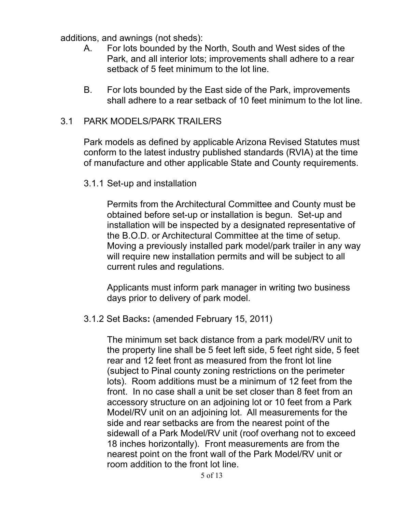additions, and awnings (not sheds):

- A. For lots bounded by the North, South and West sides of the Park, and all interior lots; improvements shall adhere to a rear setback of 5 feet minimum to the lot line.
- B. For lots bounded by the East side of the Park, improvements shall adhere to a rear setback of 10 feet minimum to the lot line.

#### 3.1 PARK MODELS/PARK TRAILERS

Park models as defined by applicable Arizona Revised Statutes must conform to the latest industry published standards (RVIA) at the time of manufacture and other applicable State and County requirements.

#### 3.1.1 Set-up and installation

Permits from the Architectural Committee and County must be obtained before set-up or installation is begun. Set-up and installation will be inspected by a designated representative of the B.O.D. or Architectural Committee at the time of setup. Moving a previously installed park model/park trailer in any way will require new installation permits and will be subject to all current rules and regulations.

Applicants must inform park manager in writing two business days prior to delivery of park model.

#### 3.1.2 Set Backs**:** (amended February 15, 2011)

The minimum set back distance from a park model/RV unit to the property line shall be 5 feet left side, 5 feet right side, 5 feet rear and 12 feet front as measured from the front lot line (subject to Pinal county zoning restrictions on the perimeter lots). Room additions must be a minimum of 12 feet from the front. In no case shall a unit be set closer than 8 feet from an accessory structure on an adjoining lot or 10 feet from a Park Model/RV unit on an adjoining lot. All measurements for the side and rear setbacks are from the nearest point of the sidewall of a Park Model/RV unit (roof overhang not to exceed 18 inches horizontally). Front measurements are from the nearest point on the front wall of the Park Model/RV unit or room addition to the front lot line.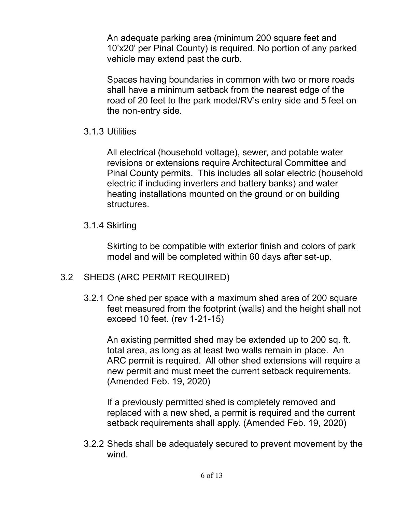An adequate parking area (minimum 200 square feet and 10'x20' per Pinal County) is required. No portion of any parked vehicle may extend past the curb.

Spaces having boundaries in common with two or more roads shall have a minimum setback from the nearest edge of the road of 20 feet to the park model/RV's entry side and 5 feet on the non-entry side.

#### 3.1.3 Utilities

All electrical (household voltage), sewer, and potable water revisions or extensions require Architectural Committee and Pinal County permits. This includes all solar electric (household electric if including inverters and battery banks) and water heating installations mounted on the ground or on building structures.

#### 3.1.4 Skirting

Skirting to be compatible with exterior finish and colors of park model and will be completed within 60 days after set-up.

#### 3.2 SHEDS (ARC PERMIT REQUIRED)

3.2.1 One shed per space with a maximum shed area of 200 square feet measured from the footprint (walls) and the height shall not exceed 10 feet. (rev 1-21-15)

An existing permitted shed may be extended up to 200 sq. ft. total area, as long as at least two walls remain in place. An ARC permit is required. All other shed extensions will require a new permit and must meet the current setback requirements. (Amended Feb. 19, 2020)

If a previously permitted shed is completely removed and replaced with a new shed, a permit is required and the current setback requirements shall apply. (Amended Feb. 19, 2020)

3.2.2 Sheds shall be adequately secured to prevent movement by the wind.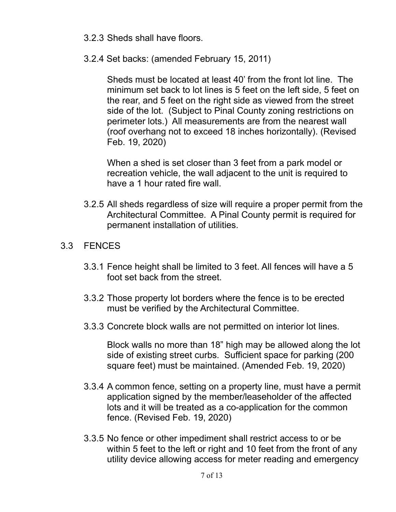- 3.2.3 Sheds shall have floors.
- 3.2.4 Set backs: (amended February 15, 2011)

Sheds must be located at least 40' from the front lot line. The minimum set back to lot lines is 5 feet on the left side, 5 feet on the rear, and 5 feet on the right side as viewed from the street side of the lot. (Subject to Pinal County zoning restrictions on perimeter lots.) All measurements are from the nearest wall (roof overhang not to exceed 18 inches horizontally). (Revised Feb. 19, 2020)

When a shed is set closer than 3 feet from a park model or recreation vehicle, the wall adjacent to the unit is required to have a 1 hour rated fire wall.

3.2.5 All sheds regardless of size will require a proper permit from the Architectural Committee. A Pinal County permit is required for permanent installation of utilities.

#### 3.3 FENCES

- 3.3.1 Fence height shall be limited to 3 feet. All fences will have a 5 foot set back from the street.
- 3.3.2 Those property lot borders where the fence is to be erected must be verified by the Architectural Committee.
- 3.3.3 Concrete block walls are not permitted on interior lot lines.

Block walls no more than 18" high may be allowed along the lot side of existing street curbs. Sufficient space for parking (200 square feet) must be maintained. (Amended Feb. 19, 2020)

- 3.3.4 A common fence, setting on a property line, must have a permit application signed by the member/leaseholder of the affected lots and it will be treated as a co-application for the common fence. (Revised Feb. 19, 2020)
- 3.3.5 No fence or other impediment shall restrict access to or be within 5 feet to the left or right and 10 feet from the front of any utility device allowing access for meter reading and emergency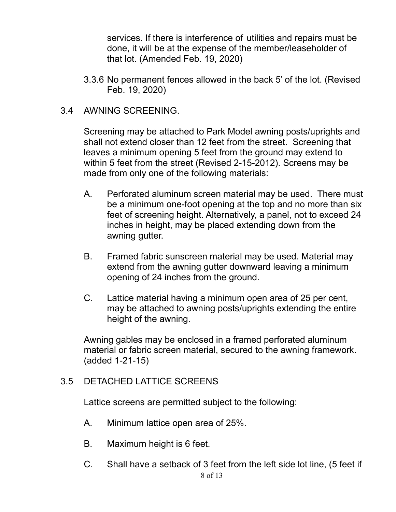services. If there is interference of utilities and repairs must be done, it will be at the expense of the member/leaseholder of that lot. (Amended Feb. 19, 2020)

3.3.6 No permanent fences allowed in the back 5' of the lot. (Revised Feb. 19, 2020)

#### 3.4 AWNING SCREENING.

Screening may be attached to Park Model awning posts/uprights and shall not extend closer than 12 feet from the street. Screening that leaves a minimum opening 5 feet from the ground may extend to within 5 feet from the street (Revised 2-15-2012). Screens may be made from only one of the following materials:

- A. Perforated aluminum screen material may be used. There must be a minimum one-foot opening at the top and no more than six feet of screening height. Alternatively, a panel, not to exceed 24 inches in height, may be placed extending down from the awning gutter.
- B. Framed fabric sunscreen material may be used. Material may extend from the awning gutter downward leaving a minimum opening of 24 inches from the ground.
- C. Lattice material having a minimum open area of 25 per cent, may be attached to awning posts/uprights extending the entire height of the awning.

Awning gables may be enclosed in a framed perforated aluminum material or fabric screen material, secured to the awning framework. (added 1-21-15)

#### 3.5 DETACHED LATTICE SCREENS

Lattice screens are permitted subject to the following:

- A. Minimum lattice open area of 25%.
- B. Maximum height is 6 feet.
- C. Shall have a setback of 3 feet from the left side lot line, (5 feet if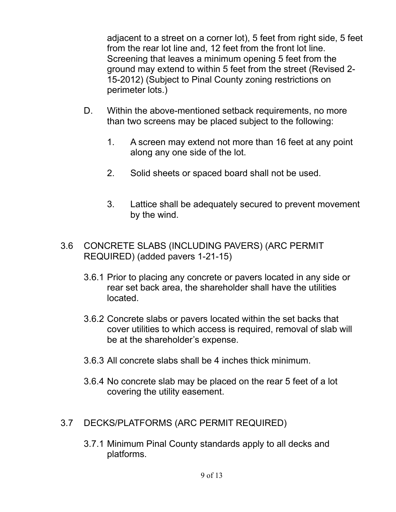adjacent to a street on a corner lot), 5 feet from right side, 5 feet from the rear lot line and, 12 feet from the front lot line. Screening that leaves a minimum opening 5 feet from the ground may extend to within 5 feet from the street (Revised 2- 15-2012) (Subject to Pinal County zoning restrictions on perimeter lots.)

- D. Within the above-mentioned setback requirements, no more than two screens may be placed subject to the following:
	- 1. A screen may extend not more than 16 feet at any point along any one side of the lot.
	- 2. Solid sheets or spaced board shall not be used.
	- 3. Lattice shall be adequately secured to prevent movement by the wind.

#### 3.6 CONCRETE SLABS (INCLUDING PAVERS) (ARC PERMIT REQUIRED) (added pavers 1-21-15)

- 3.6.1 Prior to placing any concrete or pavers located in any side or rear set back area, the shareholder shall have the utilities located.
- 3.6.2 Concrete slabs or pavers located within the set backs that cover utilities to which access is required, removal of slab will be at the shareholder's expense.
- 3.6.3 All concrete slabs shall be 4 inches thick minimum.
- 3.6.4 No concrete slab may be placed on the rear 5 feet of a lot covering the utility easement.
- 3.7 DECKS/PLATFORMS (ARC PERMIT REQUIRED)
	- 3.7.1 Minimum Pinal County standards apply to all decks and platforms.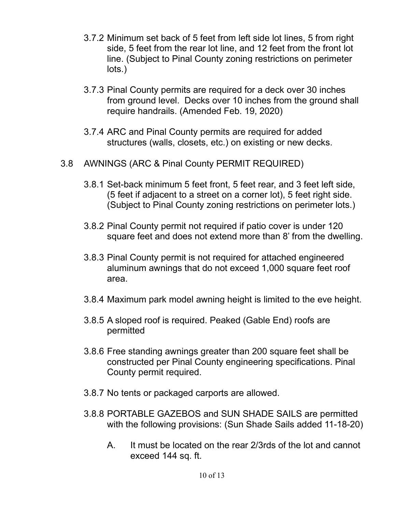- 3.7.2 Minimum set back of 5 feet from left side lot lines, 5 from right side, 5 feet from the rear lot line, and 12 feet from the front lot line. (Subject to Pinal County zoning restrictions on perimeter lots.)
- 3.7.3 Pinal County permits are required for a deck over 30 inches from ground level. Decks over 10 inches from the ground shall require handrails. (Amended Feb. 19, 2020)
- 3.7.4 ARC and Pinal County permits are required for added structures (walls, closets, etc.) on existing or new decks.
- 3.8 AWNINGS (ARC & Pinal County PERMIT REQUIRED)
	- 3.8.1 Set-back minimum 5 feet front, 5 feet rear, and 3 feet left side, (5 feet if adjacent to a street on a corner lot), 5 feet right side. (Subject to Pinal County zoning restrictions on perimeter lots.)
	- 3.8.2 Pinal County permit not required if patio cover is under 120 square feet and does not extend more than 8' from the dwelling.
	- 3.8.3 Pinal County permit is not required for attached engineered aluminum awnings that do not exceed 1,000 square feet roof area.
	- 3.8.4 Maximum park model awning height is limited to the eve height.
	- 3.8.5 A sloped roof is required. Peaked (Gable End) roofs are permitted
	- 3.8.6 Free standing awnings greater than 200 square feet shall be constructed per Pinal County engineering specifications. Pinal County permit required.
	- 3.8.7 No tents or packaged carports are allowed.
	- 3.8.8 PORTABLE GAZEBOS and SUN SHADE SAILS are permitted with the following provisions: (Sun Shade Sails added 11-18-20)
		- A. It must be located on the rear 2/3rds of the lot and cannot exceed 144 sq. ft.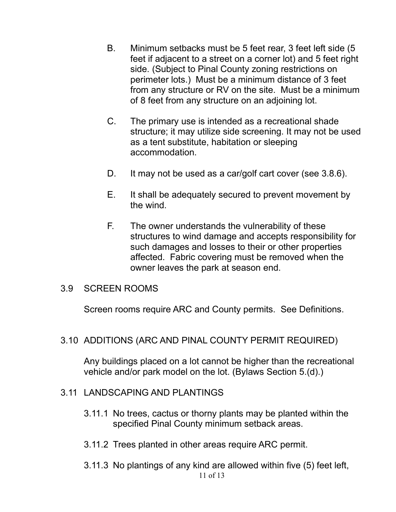- B. Minimum setbacks must be 5 feet rear, 3 feet left side (5 feet if adjacent to a street on a corner lot) and 5 feet right side. (Subject to Pinal County zoning restrictions on perimeter lots.) Must be a minimum distance of 3 feet from any structure or RV on the site. Must be a minimum of 8 feet from any structure on an adjoining lot.
- C. The primary use is intended as a recreational shade structure; it may utilize side screening. It may not be used as a tent substitute, habitation or sleeping accommodation.
- D. It may not be used as a car/golf cart cover (see 3.8.6).
- E. It shall be adequately secured to prevent movement by the wind.
- F. The owner understands the vulnerability of these structures to wind damage and accepts responsibility for such damages and losses to their or other properties affected. Fabric covering must be removed when the owner leaves the park at season end.

#### 3.9 SCREEN ROOMS

Screen rooms require ARC and County permits. See Definitions.

#### 3.10 ADDITIONS (ARC AND PINAL COUNTY PERMIT REQUIRED)

Any buildings placed on a lot cannot be higher than the recreational vehicle and/or park model on the lot. (Bylaws Section 5.(d).)

#### 3.11 LANDSCAPING AND PLANTINGS

- 3.11.1 No trees, cactus or thorny plants may be planted within the specified Pinal County minimum setback areas.
- 3.11.2 Trees planted in other areas require ARC permit.
- 3.11.3 No plantings of any kind are allowed within five (5) feet left,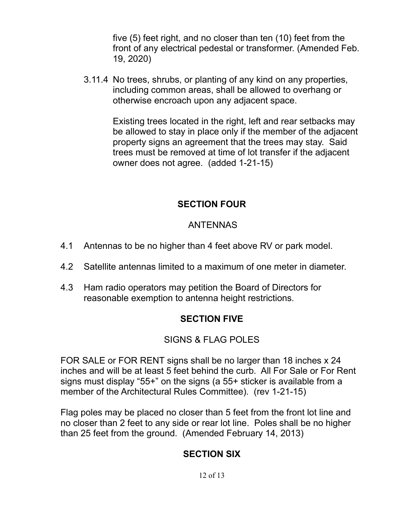five (5) feet right, and no closer than ten (10) feet from the front of any electrical pedestal or transformer. (Amended Feb. 19, 2020)

3.11.4 No trees, shrubs, or planting of any kind on any properties, including common areas, shall be allowed to overhang or otherwise encroach upon any adjacent space.

> Existing trees located in the right, left and rear setbacks may be allowed to stay in place only if the member of the adjacent property signs an agreement that the trees may stay. Said trees must be removed at time of lot transfer if the adjacent owner does not agree. (added 1-21-15)

### **SECTION FOUR**

### ANTENNAS

- 4.1 Antennas to be no higher than 4 feet above RV or park model.
- 4.2 Satellite antennas limited to a maximum of one meter in diameter.
- 4.3 Ham radio operators may petition the Board of Directors for reasonable exemption to antenna height restrictions.

# **SECTION FIVE**

## SIGNS & FLAG POLES

FOR SALE or FOR RENT signs shall be no larger than 18 inches x 24 inches and will be at least 5 feet behind the curb. All For Sale or For Rent signs must display "55+" on the signs (a 55+ sticker is available from a member of the Architectural Rules Committee). (rev 1-21-15)

Flag poles may be placed no closer than 5 feet from the front lot line and no closer than 2 feet to any side or rear lot line. Poles shall be no higher than 25 feet from the ground. (Amended February 14, 2013)

## **SECTION SIX**